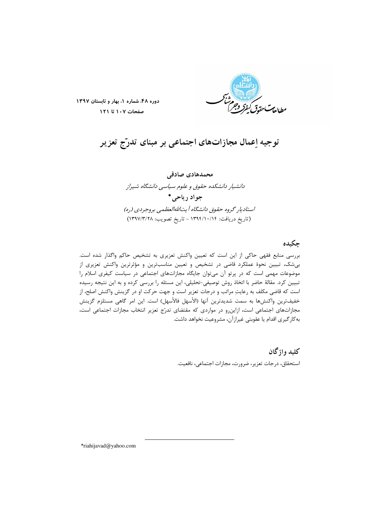

دوره ۴۸، شماره ١، بهار و تابستان ١٣٩٧ صفحات ١٠٧ تا ١٢١

# توجیه اِعمال مجازاتهای اجتماعی بر مبنای تدرّج تعزیر

محمدهادی صادقی دانشیار دانشکده حقوق و علوم سیاسی دانشگاه شیراز حواد د پاچي\* استادیار گروه حقوق دانشگاه آیتاللهالعظمی بروجردی (ره) (تاریخ دریافت: ۱۳۹۴/۱۰/۱۴ - تاریخ تصویب: ۱۳۹۷/۳/۲۸)

### چكىدە

بررسی منابع فقهی حاکی از این است که تعیین واکنش تعزیری به تشخیص حاکم واگذار شده است. بی شک، تبیین نحوهٔ عملکرد قاضی در تشخیص و تعیین مناسب ترین و مؤثرترین واکنش تعزیری از موضوعات مهمی است که در پرتو آن می¤وان جایگاه مجازاتهای اجتماعی در سیاست کیفری اسلام را تبیین کرد. مقالهٔ حاضر با اتخاذ روش توصیفی-تحلیلی، این مسئله را بررسی کرده و به این نتیجه رسیده است که قاضی مکلف به رعایتِ مراتب و درجات تعزیر است و جهت حرکت او در گزینش واکنش اصلح، از خفيفترين واكنشها به سمت شديدترين آنها (الأسهل فالأسهل) است. اين امر گاهي مستلزم گزينش مجازاتهای اجتماعی است، ازاین رو در مواردی که مقتضای تدرّج تعزیر انتخاب مجازات اجتماعی است، به کار گیری اقدام یا عقوبتی غیرازآن، مشروعیت نخواهد داشت.

> کليد واژگان استحقاق، درجات تعزير، ضرورت، مجازات اجتماعي، نافعيت.

\*riahijavad@yahoo.com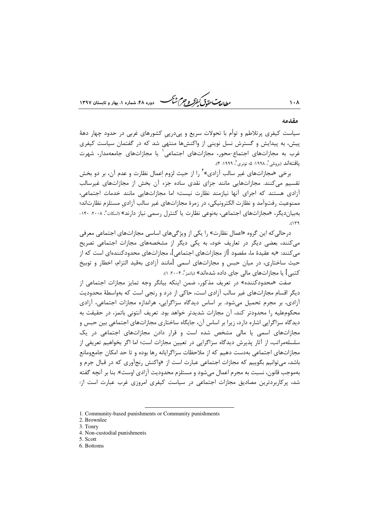#### مقدمه

 $1.1$ 

سیاست کیفری پرتلاطم و توأم با تحولات سریع و پیدرپی کشورهای غربی در حدود چهار دههٔ پیش، به پیدایش و گسترش نسل نوینی از واکنشها منتهی شد که در گفتمان سیاست کیفری غرب به مجازاتهای اجتماع-محور، مجازاتهای اجتماعی` یا مجازاتهای جامعهمدار، شهرت يافتهاند (برونلي "، ١٩٩٨: ۵؛ تونري"، ١٩٩٩: ۴).

طابع ستحقق كنفركه وجرم شجم

برخي «مجازاتهاي غير سالب آزادي» ً را از حيث لزوم اعمال نظارت و عدم آن، بر دو بخش تقسیم مے کنند. مجازاتھایی مانند جزای نقدی سادہ جزء آن بخش از مجازاتھای غیرسالب آزادی هستند که اجرای آنها نیازمند نظارت نیست؛ اما مجازاتهایی مانند خدمات اجتماعی، ممنوعیت رفتوآمد و نظارت الکترونیکی، در زمرهٔ مجازاتهای غیر سالب آزادی مستلزم نظارتاند؛ بهبیان دیگر، «مجازاتهای اجتماعی، بهنوعی نظارت یا کنترل رسمی نیاز دارند» «سکات<sup>ه ۲۰</sup>۰۸ ۱۴۰۰  $(119)$ 

درحالی که این گروه «اعمال نظارت» را یکی از ویژگیهای اساسی مجازاتهای اجتماعی معرفی می کنند، بعضی دیگر در تعاریف خود، به یکی دیگر از مشخصههای مجازات اجتماعی تصریح می کنند: «به عقیدهٔ ما، مقصود [از مجازاتهای اجتماعی]، مجازاتهای محدودکنندهای است که از حيث ساختاري، در ميان حبس و مجازاتهاي اسمي [مانند آزادي بهقيد التزام، اخطار و توبيخ کتبی] یا مجازاتهای مالی جای داده شدهاند» (باتمز $\cdot$  ۲۰۰۴، ۱).

صفت «محدودکننده» در تعریف مذکور، ضمن اینکه بیانگر وجه تمایز مجازات اجتماعی از دیگر اقسام مجازاتهای غیر سالب آزادی است، حاکی از درد و رنجی است که بهواسطهٔ محدودیت آزادی، بر مجرم تحمیل می شود. بر اساس دیدگاه سزاگرایی، هراندازه مجازات اجتماعی، آزادی محکومعلیه را محدودتر کند، آن مجازات شدیدتر خواهد بود. تعریف آنتونی باتمز، در حقیقت به دیدگاه سزاگرایی اشاره دارد، زیرا بر اساس آن، جایگاه ساختاری مجازاتهای اجتماعی بین حبس و مجازاتهای اسمی یا مالی مشخص شده است و قرار دادن مجازاتهای اجتماعی در یک سلسلهمراتب، از آثار پذیرش دیدگاه سزاگرایی در تعیین مجازات است؛ اما اگر بخواهیم تعریفی از مجازاتهای اجتماعی بهدست دهیم که از ملاحظات سزاگرایانه رها بوده و تا حد امکان جامعومانع باشد، میتوانیم بگوییم که مجازات اجتماعی عبارت است از «واکنش رنجآوری که در قبال جرم و بهموجب قانون، نسبت به مجرم اعمال میشود و مستلزم محدودیت آزادی اوست». بنا بر آنچه گفته شد، پرکاربردترین مصادیق مجازات اجتماعی در سیاست کیفری امروزی غرب عبارت است از:

- 2. Brownlee
- 3. Tonry
- 4. Non-custodial punishments
- 5. Scott
- 6. Bottoms

<sup>1.</sup> Community-based punishments or Community punishments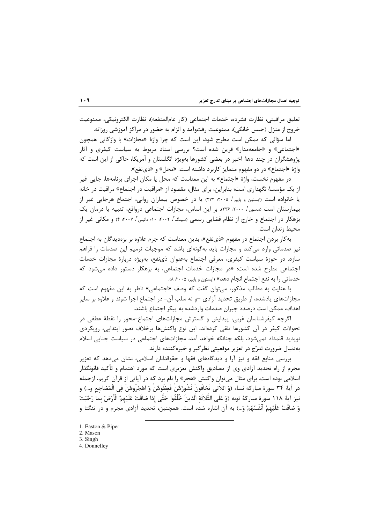تعليق مراقبتي، نظارت فشرده، خدمات اجتماعي (كار عام|لمنفعه)، نظارت الكترونيكي، ممنوعيت خروج از منزل (حبس خانگی)، ممنوعیت رفتوآمد و الزام به حضور در مراکز آموزشی روزانه.

اما سؤالي كه ممكن است مطرح شود، اين است كه چرا واژهٔ «مجازات» با واژگاني همچون «اجتماعی» و «جامعهمدار» قرین شده است؟ بررسی اسناد مربوط به سیاست کیفری و آثار پژوهشگران در چند دههٔ اخیر در بعضی کشورها بهویژه انگلستان و آمریکا، حاکی از این است که واژهٔ «اجتماع» در دو مفهوم متمایز کاربرد داشته است: «محل» و «ذی نفع».

در مفهوم نخست، واژهٔ «اجتماع» به این معناست که محل یا مکان اجرای برنامهها، جایی غیر از یک مؤسسهٔ نگهداری است؛ بنابراین، برای مثال، مقصود از «مراقبت در اجتماع» مراقبت در خانه یا خانواده است «یستون و پایپر"، ۲۰۰۵: ۲۷۳) یا در خصوص بیماران روانی، اجتماع هرجایی غیر از بیمارستان است (ماسون"، ٢٠٠٠، ٢٣۶). بر این اساس، مجازات اجتماعی درواقع، تنبیه یا درمان یک بزهكار در اجتماع و خارج از نظام قضايي رسمي (سينگ"، ٢٠٠٢. ١٠٠ دانيلي"، ٢٠٠٧. ۴) و مكاني غير از محيط زندان است.

به کار بردن اجتماع در مفهوم «ذي *نفع»، بدين معن*است که جرم علاوه بر بزهديدگان به اجتماع نیز صدماتی وارد می کند و مجازات باید به گونهای باشد که موجبات ترمیم این صدمات را فراهم سازد. در حوزهٔ سیاست کیفری، معرفی اجتماع بهعنوان ذینفع، بهویژه دربارهٔ مجازات خدمات اجتماعی مطرح شده است: «در مجازات خدمات اجتماعی، به بزهکار دستور داده می شود که خدماتی ,ا به نفع اجتماع انجام دهد» (ایستون و پاییر، ۲۰۰۵: ۸).

با عنايت به مطالب مذكور، مي توان گفت كه وصف «اجتماعي» ناظر به اين مفهوم است كه مجازاتهای یادشده، از طریق تحدید آزادی –و نه سلب آن- در اجتماع اجرا شوند و علاوه بر سایر اهداف، ممکن است درصدد جبران صدمات واردشده به پیکر اجتماع باشند.

اگرچه کیفرشناسان غربی، پیدایش و گسترش مجازاتهای اجتماع-محور را نقطهٔ عطفی در تحولات کیفر در آن کشورها تلقی کردهاند، این نوع واکنشها برخلاف تصور ابتدایی، رویکردی نویدید قلمداد نمی شود، بلکه چنانکه خواهد آمد، مجازاتهای اجتماعی در سیاست جنایی اسلام بهدنبال ضرورت تدرّج در تعزير موقعيتي نظرگير و خيرهكننده دارند.

بررسی منابع فقه و نیز آرا و دیدگاههای فقها و حقوقدانان اسلامی، نشان میدهد که تعزیر مجرم از راه تحدید آزادی وی از مصادیق واکنش تعزیری است که مورد اهتمام و تأکید قانونگذار اسلامي بوده است. براي مثال مي توان واكنش «هجر» را نام برد كه در آياتي از قرآن كريم، ازجمله در آيهٔ ٣۴ سورهٔ مباركه نساء (وَ اللاَّتي تَخافُونَ نُشُورَهُنَّ فَعِظُوهُنَّ وَ اهْجُرُوهُنَ فِي الْمَضاجع و…) و نيز آيهٔ ١١٨ سورهٔ مباركهٔ توبه (وَ عَلَى الثَّلاثَهٔ الَّذينَ خُلِّفُوا حَتَّى إذا ضاقَتْ عَلَيْهمُ الْأرْضُ بما رَحُبَتْ وَ ضاقَتْ عَلَيْهِمْ أَنْفُسُهُمْ وَ...) به آن اشاره شده است. همچنین، تحدید آزادی مجرم و در تنگنا و

4. Donnellev

<sup>1.</sup> Easton & Piper

<sup>2.</sup> Mason

<sup>3.</sup> Singh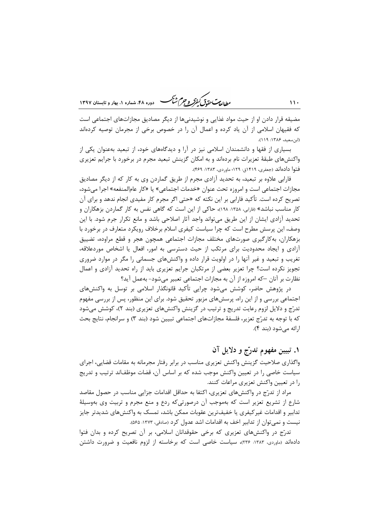ر<br>مط*ال*ی تحقی*ق کفوکر و جرم شنگ* هنده ۴۸، شهاده ۱، بعاد و تابستان ۱۳۹۷

مضیقه قرار دادن او از حیث مواد غذایی و نوشیدنیها از دیگر مصادیق مجازاتهای اجتماعی است که فقیهان اسلامی از آن یاد کرده و اعمال آن را در خصوص برخی از مجرمان توصیه کردهاند (ابن سعيد، ١٣٨۶: ١١٩).

بسیاری از فقها و دانشمندان اسلامی نیز در آرا و دیدگاههای خود، از تبعید بهعنوان یکی از واکنشهای طبقهٔ تعزیرات نام بردهاند و به امکان گزینش تبعید مجرم در برخورد با جرایم تعزیری فتوا دادهاند (جعفري، ۱۴۱۹ق: ۱۲۹؛ ماوردي، ۱۳۸۳: ۴۶۹).

فارابی علاوه بر تبعید، به تحدید آزادی مجرم از طریق گماردن وی به کار که از دیگر مصادیق مجازات اجتماعي است و امروزه تحت عنوان «خدمات اجتماعي» يا «كار عامالمنفعه» اجرا مي شود، تصریح کرده است. تأکید فارابی بر این نکته که «حتی اگر مجرم کار مفیدی انجام ندهد و برای آن کار مناسب نباشد» (فارابی، ۱۳۵۸: ۱۹۸)، حاکی از این است که گاهی نفس به کار گماردن بزهکاران و تحدید آزادی ایشان از این طریق می تواند واجد آثار اصلاحی باشد و مانع تکرار جرم شود. با این وصف، این پرسش مطرح است که چرا سیاست کیفری اسلام برخلاف رویکرد متعارف در برخورد با بزهکاران، بهکارگیری صورتهای مختلف مجازات اجتماعی همچون هجر و قطع مراوده، تضییق آزادی و ایجاد محدودیت برای مرتکب از حیث دسترسی به امور، افعال یا اشخاص موردعلاقه، تغریب و تبعید و غیر آنها را در اولویت قرار داده و واکنشهای جسمانی را مگر در موارد ضروری تجویز نکرده است؟ چرا تعزیر بعضی از مرتکبان جرایم تعزیری باید از راه تحدید آزادی و اعمال نظارت بر آنان –که امروزه از آن به مجازات اجتماعی تعبیر میشود- بهعمل آید؟

در پژوهش حاضر، کوشش میشود چرایی تأکید قانونگذار اسلامی بر توسل به واکنشهای اجتماعی بررسی و از این راه، پرسشهای مزبور تحقیق شود. برای این منظور، پس از بررسی مفهوم تدرّج و دلایل لزوم رعایت تدریج و ترتیب در گزینش واکنشهای تعزیری (بند ۲)، کوشش می شود که با توجه به تدرّج تعزیر، فلسفهٔ مجازاتهای اجتماعی تبیین شود (بند ۳) و سرانجام، نتایج بحث ارائه می شود (بند ۴).

### ۱. تبیین مفهوم تدرّج و دلایل آن

واگذاری صلاحیت گزینش واکنش تعزیری مناسب در برابر رفتار مجرمانه به مقامات قضایی، اجرای سیاست خاصی را در تعیین واکنش موجب شده که بر اساس آن، قضات موظفاند ترتیب و تدریج را در تعیین واکنش تعزیری مراعات کنند.

مراد از تدرّج در واکنشهای تعزیری، اکتفا به حداقل اقدامات جزایی مناسب در حصول مقاصد شارع از تشریع تعزیر است که بهموجب آن درصورتیکه ردع و منع مجرم و تربیت وی بهوسیلهٔ تدابیر و اقدامات غیر کیفری یا خفیفترین عقوبات ممکن باشد، تمسک به واکنش های شدیدتر جایز نیست و نمی توان از تدابیر اخف به اقدامات اشد عدول کرد (صادقی، ۱۳۷۳: ۵۶۵).

تدرّج در واکنش۵ای تعزیری که برخی حقوقدانان اسلامی، بر آن تصریح کرده و بدان فتوا دادهاند (ماوردی، ۱۳۸۳: ۲۳۶)، سیاست خاصی است که برخاسته از لزوم نافعیت و ضرورت داشتن

 $\mathbf{11}$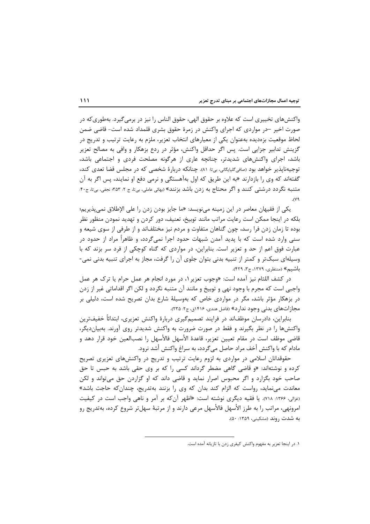واکنشهای تخییری است که علاوه بر حقوق الهی، حقوق الناس را نیز در برمی گیرد. بهطوری که در صورت اخیر –در مواردی که اجرای واکنش در زمرهٔ حقوق بشری قلمداد شده است- قاضی ضمن لحاظ موقعیت بزهدیده بهعنوان یکی از معیارهای انتخاب تعزیر، ملزم به رعایت ترتیب و تدریج در گزینش تدابیر جزایی است. پس اگر حداقل واکنش، مؤثر در ردع بزهکار و وافی به مصالح تعزیر باشد، اجرای واکنشهای شدیدتر، چنانچه عاری از هرگونه مصلحت فردی و اجتماعی باشد، توجیهناپذیر خواهد بود (صافی۴لپایگانی، بی¤: ۸۱). چنانکه دربارهٔ شخصی که در مجلس قضا تعدی کند، گفتهاند که وی را بازدارند «به این طریق که اول بهآهستگی و نرمی دفع او نمایند، پس اگر به آن متنبه نگردد درشتی کنند و اگر محتاج به زدن باشد بزنند» (بهائی عاملی، بی¤، ج ۲: ۳۵۳؛ نجفی، بی¤، ج۴۰:  $\mathcal{N}^{\mathsf{q}}$ 

یکی از فقیهان معاصر در این زمینه مینویسد: «ما جایز بودن زدن را علی الإطلاق نمیپذیریم؛ بلکه در اینجا ممکن است رعایت مراتب مانند توبیخ، تعنیف، دور کردن و تهدید نمودن منظور نظر بوده تا زمان زدن فرا رسد، چون گناهان متفاوت و مردم نیز مختلفاند و از طرفی از سوی شیعه و سنے وارد شدہ است که با پدید آمدن شبھات حدود اجرا نمےگردد، و ظاهراً مراد از حدود در عبارت فوق اعم از حد و تعزیر است. بنابراین، در مواردی که گناه کوچکی از فرد سر بزند که با وسیلهای سبکتر و کمتر از تنبیه بدنی بتوان جلوی آن را گرفت، مجاز به اجرای تنبیه بدنی نمی-باشیم» (منتظری، ١٣٧٩، ج٣، ۴٢٩).

در كشف اللثام نيز آمده است: «وجوب تعزير ١، در مورد انجام هر عمل حرام يا ترك هر عمل واجبی است که مجرم با وجود نهی و توبیخ و مانند آن متنبه نگردد و لکن اگر اقداماتی غیر از زدن در بزهکار مؤثر باشد، مگر در مواردی خاص که بهوسیلهٔ شارع بدان تصریح شده است، دلیلی بر مجازاتهای بدنی وجود ندارد» (فاضل هندی، ۱۴۱۶ق، ج۲: ۲۳۵).

بنابراین، دادرسان موظفاند در فرایند تصمیمگیری دربارهٔ واکنش تعزیری، ابتدائاً خفیفترین واکنشها را در نظر بگیرند و فقط در صورت ضرورت به واکنش شدیدتر روی آورند. بهبیاندیگر، قاضی موظف است در مقام تعیین تعزیر، قاعدهٔ الأسهل فالأسهل را نصبالعین خود قرار دهد و مادام که با واکنش أخف مراد حاصل می گردد، به سراغ واکنش أشد نرود.

حقوقدانان اسلامی در مواردی به لزوم رعایت ترتیب و تدریج در واکنشهای تعزیری تصریح کرده و نوشتهاند: «و قاضی گاهی مضطر گرداند کسی را که بر وی حقی باشد به حبس تا حق صاحب خود بگزارد و اگر محبوس اصرار نماید و قاضی داند که او گزاردن حق می تواند و لکن معاندت میiماید، رواست که الزام کند بدان که وی را بزنند بهتدریج، چندانکه حاجت باشد» (غزالي، ۱۳۶۶: ۷۱۸). يا فقيه ديگري نوشته است: «اظهر آن كه بر آمر و ناهي واجب است در كيفيت امرونهي، مراتب را به طرز الأسهل فالأسهل مرعى دارند و از مرتبهٔ سهلتر شروع كرده، بهتدريج رو به شدت روند (مشکینی، ۱۳۵۹: ۵۰).

١. در اينجا تعزير به مفهوم واكنش كيفري زدن با تازيانه آمده است.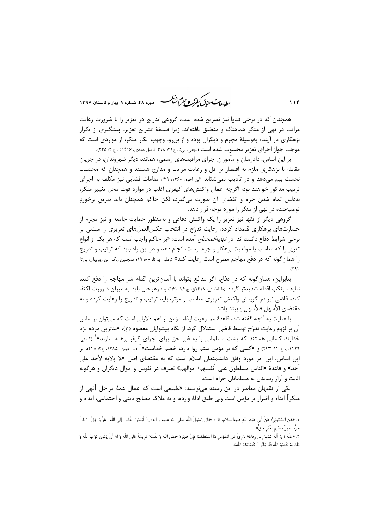ر<br>رواده سی تحقیق کفرگر و جرم شنگ هست دوده ۴۸، شهاده ۱، بعاد و قابستان ۱۳۹۷

همچنان که در برخی فتاوا نیز تصریح شده است، گروهی تدریج در تعزیر را با ضرورت رعایت مراتب در نهی از منکر هماهنگ و منطبق یافتهاند، زیرا فلسفهٔ تشریع تعزیر، پیشگیری از تکرار بزهکاری در آینده بهوسیلهٔ مجرم و دیگران بوده و ازاین٫و، وجوب انکار منکر، از مواردی است که موجب جواز اجراي تعزير محسوب شده است (نجفي، بي¤، ج٢١. ٣٧٨؛ فاضل هندي، ١۴١۶ق، ج ٢: ٢٣۵).

بر این اساس، دادرسان و مأموران اجرای مراقبتهای رسمی، همانند دیگر شهروندان، در جریان مقابله با بزهکاری ملزم به اقتصار بر اقل و رعایت مراتب و مدارج هستند و همچنان که محتسب نخست بیم می۵هد و در تأدیب نمی شتابد (ابن اخوه، ۱۳۶۰: ۲۹)، مقامات قضایی نیز مکلف به اجرای ترتیب مذکور خواهند بود؛ اگرچه اعمال واکنشهای کیفری اغلب در موارد فوت محل تغییر منکر، بهدلیل تمام شدن جرم و انقضای آن صورت میگیرد، لکن حاکم همچنان باید طریق برخوردِ توصیهشده در نهی از منکر را مورد توجه قرار دهد.

گروهی دیگر از فقها نیز تعزیر را یک واکنش دفاعی و بهمنظور حمایت جامعه و نیز مجرم از خسارتهای بزهکاری قلمداد کرده، رعایت تدرّج در انتخاب عکسالعملهای تعزیری را مبتنی بر برخي شرايط دفاع دانستهاند. در *نهايهالمحتاج* آمده است: «بر حاكم واجب است كه هر يک از انواع تعزیر را که مناسب با موقعیت بزهکار و جرم اوست، انجام دهد و در این راه باید که ترتیب و تدریج را همان گونه که در دفع مهاجم مطرح است رعایت کند» (<sub>د</sub>ملی، بی¤، ج۸ ۱۹؛ همچنین ر.ک ابن روزبهان، بی¤:  $.(\Upsilon$ ۹۲

بنابراین، همان گونه که در دفاع، اگر مدافع بتواند با آسانترین اقدام شر مهاجم را دفع کند، نباید مرتکب اقدام شدیدتر گردد (طباطبائی، ۱۴۱۸ق، ج ۱۶: ۱۶۱) و درهرحال باید به میزان ضرورت اکتفا کند، قاضی نیز در گزینش واکنش تعزیری مناسب و مؤثر، باید ترتیب و تدریج را رعایت کرده و به مقتضاي الأسهل فالأسهل يايبند باشد.

با عنايت به آنچه گفته شد، قاعدهٔ ممنوعيت ايذاء مؤمن از اهم دلايلي است كه مي توان براساس آن بر لزوم رعايت تدرّج توسط قاضي استدلال كرد. از نگاه پيشوايان معصوم (ع)، «بدترين مردم نزد خداوند کسانی هستند که پشت مسلمانی <sub>د</sub>ا به غیر حق برای اجرای کیفر برهنه سازند»<sup>۱</sup> (<sub>کلینی</sub>، ۴۲۹ق، ج ۱۴: ۲۴۳) و «کسی که بر مؤمن ستم روا دارد، خصم خداست» ٔ «بنحیون، ۱۳۸۵، ج۲: ۴۴۵). بر این اساس، این امر مورد وفاق دانشمندان اسلام است که به مقتضای اصل «لا ولایه لأحد علی أحد» و قاعدهٔ «الناس مسلطون على أنفسهم/ اموالهم» تصرف در نفوس و اموال ديگران و هرگونه اذيت و آزار رساندن به مسلمانان جرام است.

یکی از فقیهان معاصر در این زمینه میiویسد: «طبیعی است که اعمال همهٔ مراحل **ا**نهی از منكر] ايذاء و اضرار بر مؤمن است ولي طبق ادلهٔ وارده، و به ملاک مصالح ديني و اجتماعي، ايذاء و

 $111$ 

١. «عَن السَّكُونِيِّ: عَنْ أَبِي عَبْدِ اللَّهِ عليهالسلام، قَالَ: «قَالَ رَسُولُ اللَّهِ صلى الله عليه و آله: إِنَّ أبْغَضَ النَّاسِ إِلَى اللَّهِ- عَزَّ وَ جَلَّ- رَجُلٌ جَرَّدَ ظَهْرَ مُسْلم بغَيْر حَقٍّ».

٢. «عَنْهُ (ع) أنَّهُ كَتَبَ إلَى رفَاعَةَ دَارِئْ عَنِ الْمُؤْمِنِ مَا اسْتَطَعْتَ فَإِنَّ ظَهْرَهُ حِمَى اللَّهِ وَ نَفْسَهُ كَرِيمَةٌ عَلَى اللَّهِ وَ لَهُ أَنْ يَكُونَ ثَوَابُ اللَّهِ وَ ظَالِمَهُ خَصْمُ اللَّهِ فَلَا يَكُونَ خَصْمُكَ اللَّه».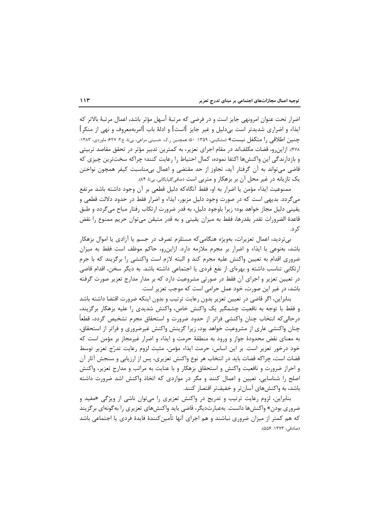اضرار تحت عنوان امرونهي جايز است و در فرضي كه مرتبهٔ أسهل مؤثر باشد، اعمال مرتبهٔ بالاتر كه ایذاء و اضراری شدیدتر است بیدلیل و غیر جایز [است] و ادلهٔ باب [امربهمعروف و نهی از منکر] چنین اطلاقی را متکفل نیست» (مشکینی، ۱۳۵۹: ۵۰ همچنین ر.ک: حسینی مراغی، بیتا، ج۲: ۶۲۷؛ ماوردی، ۱۳۸۳: ۴۷۸). ازاین٫و، قضات مکلفاند در مقام اجرای تعزیر، به کمترین تدبیر مؤثر در تحقق مقاصد تربیتی و بازدارندگی این واکنشها اکتفا نموده، کمال احتیاط را رعایت کنند؛ چراکه سختترین چیزی که قاضی میتواند به اًن گرفتار اًید، تجاوز از حد مقتضی و اعمال بیمناسبت کیفر همچون نواختن یک تازیانه در غیر محل آن بر بزهکار و متربی است (صافیڰلپایگانی، بیتا: ۸۴).

ممنوعيت ايذاء مؤمن يا اضرار به او، فقط آنگاهكه دليل قطعي بر آن وجود داشته باشد مرتفع میگردد. بدیهی است که در صورت وجود دلیل مزبور، ایذاء و اضرار فقط در حدود دلالت قطعی و یقینی دلیل مجاز خواهد بود؛ زیرا باوجود دلیل، به قدر ضرورت ارتکاب رفتار مباح می5ردد و طبق قاعدهٔ الضرورات تقدر بقدرها، فقط به میزان یقینی و به قدر متیقن می توان حریم ممنوع را نقض ک د.

بے تردید، اعمال تعزیرات، بەویژه هنگامی که مستلزم تصرف در جسم یا آزادی یا اموال بزهکار باشد، بەنوعی با ایذاء و اضرار بر مجرم ملازمه دارد. ازاین٫و، حاکم موظف است فقط به میزان ضروری اقدام به تعیین واکنش علیه مجرم کند و البته لازم است واکنشی را برگزیند که با جرم ارتکابی تناسب داشته و بهرمای از نفع فردی یا اجتماعی داشته باشد. به دیگر سخن، اقدام قاضی در تعیین تعزیر و اجرای آن فقط در صورتی مشروعیت دارد که بر مدار مدارج تعزیر صورت گرفته باشد، در غیر این صورت، خود عمل حرامی است که موجب تعزیر است.

بنابراین، اگر قاضی در تعیین تعزیر بدون رعایت ترتیب و بدون اینکه ضرورت اقتضا داشته باشد و فقط با توجه به نافعیت چشمگیر یک واکنش خاص، واکنش شدیدی را علیه بزهکار برگزیند، درحالي كه انتخاب چنان واكنشي فراتر از حدود ضرورت و استحقاق مجرم تشخيص گردد، قطعاً چنان واکنشی عاری از مشروعیت خواهد بود، زیرا گزینش واکنش غیرضروری و فراتر از استحقاق، به معنای نقض محدودهٔ جواز و ورود به منطقهٔ حرمت و ایذاء و اضرار غیرمجاز بر مؤمن است که خود درخور تعزیر است. بر این اساس، حرمت ایذاء مؤمن، مثبت لزوم رعایت تدرّج تعزیر توسط قضات است، چراکه قضات باید در انتخاب هر نوع واکنش تعزیری، پس از ارزیابی و سنجش آثار آن و احراز ضرورت و نافعیت واکنش و استحقاق بزهکار و با عنایت به مراتب و مدارج تعزیر، واکنش اصلح را شناسایی، تعیین و اعمال کنند و مگر در مواردی که اتخاذ واکنش اشد ضرورت داشته باشد، به واکنش های آسان تر و خفیف تر اقتصار کنند.

بنابراین، لزوم رعایت ترتیب و تدریج در واکنش تعزیری را می توان ناشی از ویژگی «مفید و ضروری بودن» واکنشها دانست. بهعبارتدیگر، قاضی باید واکنشهای تعزیری را بهگونهای برگزیند که هم کمتر از میزان ضروری نباشند و هم اجرای آنها تأمینکنندهٔ فایدهٔ فردی یا اجتماعی باشد (صادقی، ۱۳۷۳: ۵۵۶).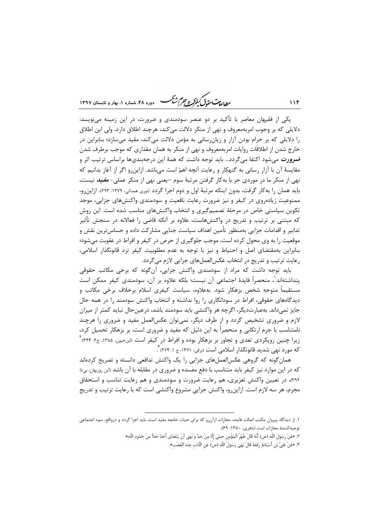ر<br>داراد به سن متحدد تن گرفتگر و جرم شنگ می دوده ۴۸، شهاره ۱، بعاد و تابستان ۱۳۹۷

یکی از فقیهان معاصر با تأکید بر دو عنصر سودمندی و ضرورت، در این زمینه مینویسد: دلایلی که بر وجوب امربهمعروف و نهی از منکر دلالت میکند، هرچند اطلاق دارد، ولی این اطلاق را دلایلی که بر حرام بودن آزار و زیان رسانی به مؤمن دلالت میکند، مقید می سازد؛ بنابراین در خارج شدن از اطلاقات روایات امربهمعروف و نهی از منکر به همان مقداری که موجب برطرف شدن **ضرورت** میشود اکتفا میگردد… باید توجه داشت که همهٔ این درجهبندیها براساس ترتیب اثر و مقایسهٔ آن با آزار رسانی به گنهکار و رعایت آنچه اهمّ است میباشد. ازاینرو اگر از آغاز بدانیم که نهی از منکر ما در موردی جز با بهکار گرفتن مرتبهٔ سوم –یعنی نهی از منکر عملی- *مفید* نیست، باید همان را به کار گرفت، بدون اینکه مرتبهٔ اول و دوم اجرا گردد (<sub>نوری</sub> همدانی، ۱۳۷۹: ۲۹۳). ازاین رو، ممنوعیت زیادهروی در کیفر و نیز ضرورت رعایت نافعیت و سودمندی واکنشهای جزایی، موجد تکوین سیاستی خاص در مرحلهٔ تصمیم گیری و انتخاب واکنش های مناسب شده است. این روش که مبتنی بر ترتیب و تدریج در واکنشهاست، علاوه بر آنکه قاضی را فعالانه در سنجش تأثیر تدابیر و اقدامات جزایی بهمنظور تأمین اهداف سیاست جنایی مشارکت داده و حساس ترین نقش و موقعیت را به وی محول کرده است، موجب جلوگیری از حرص در کیفر و افراط در عقوبت میشود؛ بنابراین بهمقتضای اصل و احتیاط و نیز با توجه به عدم مطلوبیت کیفر نزد قانونگذار اسلامی، رعایت ترتیب و تدریج در انتخاب عکسالعملهای جزایی لازم می گردد.

باید توجه داشت که مراد از سودمندی واکنش جزایی، آن گونه که برخی مکاتب حقوقی پنداشتهاند ٰ، منحصراً فایدهٔ اجتماعی آن نیست؛ بلکه علاوه بر آن، سودمندی کیفر ممکن است مستقیماً متوجه شخص بزهکار شود. بهعلاوه، سیاست کیفری اسلام برخلاف برخی مکاتب و دیدگاههای حقوقی، افراط در سودانگاری را روا نداشته و انتخاب واکنش سودمند را در همه حال جایز نمی،داند. بهعبارتدیگر، اگرچه هر واکنشی باید سودمند باشد، درعینحال نباید کمتر از میزان لازم و ضروری تشخیص گردد و از طرف دیگر، نمیتوان عکسالعمل مفید و ضروری را هرچند نامتناسب با جرم ارتکابی و منحصراً به این دلیل که مفید و ضروری است، بر بزهکار تحمیل کرد، زیرا چنین رویکردی تعدی و تجاوز بر بزهکار بوده و افراط در کیفر است «بن-یون، ۱۳۸۵، ج۲: ۴۴۴) <sup>۲</sup> که مورد نهی شدید قانونگذار اسلامی است (برقی، ۱۳۷۱، ج ۱: ۲۷۴) ً.

همان گونه که گروهی عکسالعملهای جزایی را یک واکنش تدافعی دانسته و تصریح کردهاند که در این موارد نیز کیفر باید متناسب با دفع مفسده و ضروری در مقابله با آن باشد «بن روزبهان، بی¤: ۳۹۲)، در تعیین واکنش تعزیری، هم رعایت ضرورت و سودمندی و هم رعایت تناسب و استحقاق مجرم، هر سه لازم است. ازاین٫و، واکنش جزایی مشروع واکنشی است که با رعایت ترتیب و تدریج

 $11f$ 

١. از ديدگاه پيروان مكتب اصالت فايده، مجازات ازآنرو كه براي حيات جامعه مفيد است، بايد اجرا گردد و درواقع، سود اجتماعي توجيه كنندة مجازات است (باهري، ١٣٨٠: ٤٩).

٢. «عَنْ رَسُولِ اللَّهِ (ص) أَنَّهُ قَالَ ظَهْرُ الْمُؤْمِنِ حِمًى إِلَّا مِنْ حَدٍّ وَ نَهَى أَنْ يَتَعَدَّى أخذ خدَأ مِنْ حُدُودِ اللَّهِ».

٣. «عَنْ عَلِيٍّ بْنِ أَسْبَاطٍ رَفَعَهُ قَالَ نَهَى رَسُولُ اللَّهِ (ص) عَنِ الْأَدَبِ عِنْدَ الْغَضَبِ».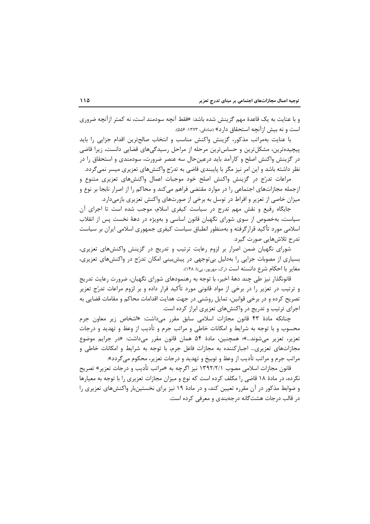و با عنایت به یک قاعدهٔ مهم گزینش شده باشد: «فقط آنچه سودمند است، نه کمتر ازآنچه ضروری است و نه بیش ازآنچه استحقاق دارد» (صادقی، ۱۳۷۳: ۵۵۶).

با عنایت بهمراتب مذکور، گزینش واکنش مناسب و انتخاب صالح ترین اقدام جزایی را باید پیچیدهترین، مشکلترین و حساس ترین مرحله از مراحل رسیدگیهای قضایی دانست، زیرا قاضی در گزینش واکنش اصلح و کارآمد باید درعینحال سه عنصر ضرورت، سودمندی و استحقاق را در نظر داشته باشد و این امر نیز مگر با پایبندی قاضی به تدرّج واکنشهای تعزیری میسر نمیگردد.

مراعات تدرّج در گزینش واکنش اصلح خود موجبات اعمال واکنش۵مای تعزیری متنوع و ازجمله مجازاتهای اجتماعی را در موارد مقتضی فراهم میکند و محاکم را از اصرار نابجا بر نوع و میزان خاصی از تعزیر و افراط در توسل به برخی از صورتهای واکنش تعزیری بازمیدارد.

جایگاه رفیع و نقش مهم تدرج در سیاست کیفری اسلام، موجب شده است تا اجرای آن سیاست، بهخصوص از سوی شورای نگهبان قانون اساسی و بهویژه در دههٔ نخست پس از انقلاب اسلامی مورد تأکید قرار گرفته و بهمنظور انطباق سیاست کیفری جمهوری اسلامی ایران بر سیاست تدرج تلاشھایے صورت گیرد.

شورای نگهبان ضمن اصرار بر لزوم رعایت ترتیب و تدریج در گزینش واکنش های تعزیری، بسیاری از مصوبات جزایی را بهدلیل بی توجهی در پیشبینی امکان تدرّج در واکنشهای تعزیری، مغاير با احكام شرع دانسته است (رك: مهرپور، بي تا: ١۴٨).

قانونگذار نیز طی چند دههٔ اخیر، با توجه به رهنمودهای شورای نگهبان، ضرورت رعایت تدریج و ترتیب در تعزیر را در برخی از مواد قانونی مورد تأکید قرار داده و بر لزوم مراعات تدرّج تعزیر تصریح کرده و در برخی قوانین، تمایل روشنی در جهت هدایت اقدامات محاکم و مقامات قضایی به اجرای ترتیب و تدریج در واکنشهای تعزیری ابراز کرده است.

چنانکه مادهٔ ۴۳ قانون مجازات اسلامی سابق مقرر میداشت: «اشخاص زیر معاون جرم محسوب و با توجه به شرایط و امکانات خاطی و مراتب جرم و تأدیب از وعظ و تهدید و درجات تعزیر، تعزیر می شوند…»؛ همچنین، مادهٔ ۵۴ همان قانون مقرر می داشت: «در جرایم موضوع مجازاتهای تعزیری… اجبارکننده به مجازات فاعل جرم، با توجه به شرایط و امکانات خاطی و مراتب جرم و مراتب تأديب از وعظ و توبيخ و تهديد و درجات تعزير، محكوم مي£ردد».

قانون مجازات اسلامی مصوب ۱۳۹۲/۲/۱ نیز اگرچه به «مراتب تأدیب و درجات تعزیر» تصریح نکرده، در مادهٔ ۱۸ قاضی را مکلف کرده است که نوع و میزان مجازات تعزیری را با توجه به معیارها و ضوابط مذکور در آن مقرره تعیین کند، و در مادهٔ ۱۹ نیز برای نخستینبار واکنشهای تعزیری را در قالب درجات هشت گانه درجهبندی و معرفی کرده است.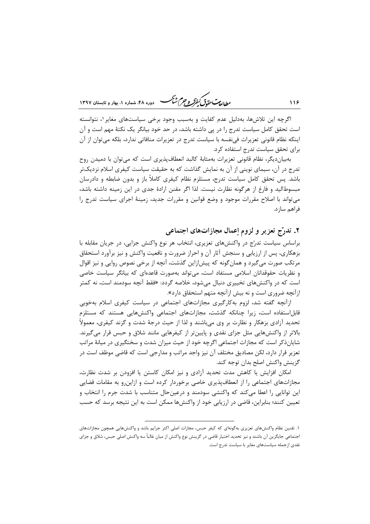ر ان می باشد.<br>را ان مسلم متحدق کنفرگر و جرم شنگ هنداده ۴۸، شهاره ۱، بهار و تابستان ۱۳۹۷

اگرچه این تلاشها، بهدلیل عدم کفایت و بهسبب وجود برخی سیاستهای مغایر ۱، نتوانسته است تحقق کامل سیاست تدرج را در پی داشته باشد، در حد خود بیانگر یک نکتهٔ مهم است و آن اینکه نظام قانونی تعزیرات فی نفسه با سیاست تدرج در تعزیرات منافاتی ندارد، بلکه می توان از آن برای تحقق سیاست تدرج استفاده کرد.

بهبیاندیگر، نظام قانونی تعزیرات بهمثابهٔ کالبد انعطافپذیری است که میتوان با دمیدن روح تدرج در آن، سیمای نوینی از آن به نمایش گذاشت که به حقیقت سیاست کیفری اسلام نزدیکتر باشد. پس تحقق کامل سیاست تدرج، مستلزم نظام کیفری کاملاً باز و بدون ضابطه و دادرسان مبسوطالید و فارغ از هرگونه نظارت نیست. لذا اگر مقنن ارادهٔ جدی در این زمینه داشته باشد، میتواند با اصلاح مقررات موجود و وضع قوانین و مقررات جدید، زمینهٔ اجرای سیاست تدرج را فراهم سازد.

۲. تدرّج تعزیر و لزوم اِعمال مجازاتهای اجتماعی

براساس سیاست تدرّج در واکنشهای تعزیری، انتخاب هر نوع واکنش جزایی، در جریان مقابله با بزهکاری، پس از ارزیابی و سنجش آثار آن و احراز ضرورت و نافعیت واکنش و نیز برآورد استحقاق مرتکب صورت می گیرد و همان گونه که پیش|زاین گذشت، آنچه از برخی نصوص روایی و نیز اقوال و نظریات حقوقدانان اسلامی مستفاد است، میتواند بهصورت قاعدهای که بیانگر سیاست خاصی است که در واکنشهای تخییری دنبال می شود، خلاصه گردد: «فقط آنچه سودمند است، نه کمتر ازآنچه ضروری است و نه بیش ازآنچه متهم استحقاق دارد».

ازآنچه گفته شد، لزوم بهکارگیری مجازاتهای اجتماعی در سیاست کیفری اسلام بهخوبی قابل استفاده است، زیرا چنانکه گذشت، مجازاتهای اجتماعی واکنشهایی هستند که مستلزم تحدید آزادی بزهکار و نظارت بر وی میباشند و لذا از حیث درجهٔ شدت و گزند کیفری، معمولاً بالاتر از واکنشهایی مثل جزای نقدی و پایین تر از کیفرهایی مانند شلاق و حبس قرار می گیرند. شایانذکر است که مجازات اجتماعی اگرچه خود از حیث میزان شدت و سختگیری در میانهٔ مراتب تعزیر قرار دارد، لکن مصادیق مختلف آن نیز واجد مراتب و مدارجی است که قاضی موظف است در گزينش واكنش اصلح بدان توجه كند.

امكان افزايش يا كاهش مدت تحديد آزادي و نيز امكان كاستن يا افزودن بر شدت نظارت، مجازاتهای اجتماعی را از انعطافپذیری خاصی برخوردار کرده است و ازاین٫رو به مقامات قضایی این توانایی را اعطا می کند که واکنشی سودمند و درعینحال متناسب با شدت جرم را انتخاب و تعیین کنند؛ بنابراین، قاضی در ارزیابی خود از واکنشها ممکن است به این نتیجه برسد که حسب

۱. تقنین نظام واکنشهای تعزیری بهگونهای که کیفر حبس، مجازات اصلی اکثر جرایم باشد و واکنشهایی همچون مجازاتهای اجتماعي جايگزين آن باشند و نيز تحديد اختيار قاضي در گزينش نوع واكنش از ميان غالباً سه واكنش اصلي حبس، شلاق و جزاي نقدی ازجمله سیاستهای مغایر با سیاست تدرج است.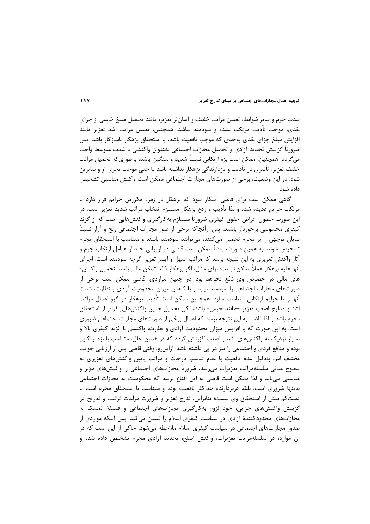شدت جرم و سایر ضوابط، تعیین مراتب خفیف و آسانتر تعزیر، مانند تحمیل مبلغ خاصی از جزای نقدی، موجب تأدیب مرتکب نشده و سودمند نباشد. همچنین، تعیین مراتب اشد تعزیر مانند افزایش مبلغ جزای نقدی بهحدی که موجب نافعیت باشد، با استحقاق بزهکار ناسازگار باشد. پس ضرورتاً گزینش تحدید آزادی و تحمیل مجازات اجتماعی بهعنوان واکنشی با شدت متوسط واجب میگردد. همچنین، ممکن است بزه ارتکابی نسبتاً شدید و سنگین باشد، بهطوریکه تحمیل مراتب خفیف تعزیر، تأثیری در تأدیب و بازدارندگی بزهکار نداشته باشد یا حتی موجب تجری او و سایرین شود. در این وضعیت، برخی از صورتهای مجازات اجتماعی ممکن است واکنش مناسبی تشخیص داده شود.

گاهی ممکن است برای قاضی آشکار شود که بزهکار در زمرهٔ مکرّرین جرایم قرار دارد یا مرتکب جرایم عدیده شده و لذا تأدیب و ردع بزهکار مستلزم انتخاب مراتب شدید تعزیر است. در این صورت حصول اغراض حقوق کیفری ضرورتاً مستلزم بهکارگیری واکنشهایی است که از گزند کیفری محسوسی برخوردار باشند. پس ازآنجاکه برخی از صوَر مجازات اجتماعی رنج و آزار نسبتاً شایان توجهی را بر مجرم تحمیل میکنند، میتوانند سودمند باشند و متناسب با استحقاق مجرم تشخیص شوند. به همین صورت، بعضاً ممکن است قاضی در ارزیابی خود از عوامل ارتکاب جرم و آثار واکنش تعزیری به این نتیجه برسد که مراتب اسهل و ایسر تعزیر اگرچه سودمند است، اجرای آنها عليه بزهكار عملاً ممكن نيست؛ براي مثال، اگر بزهكار فاقد تمكن مالي باشد، تحميل واكنش-های مالی در خصوص وی نافع نخواهد بود. در چنین مواردی، قاضی ممکن است برخی از صورتهای مجازات اجتماعی را سودمند بیابد و با کاهش میزان محدودیت آزادی و نظارت، شدت آنها را با جرایم ارتکابی متناسب سازد. همچنین ممکن است تأدیب بزهکار در گرو اعمال مراتب اشد و مدارج اصعب تعزیر —مانند حبس- باشد، لکن تحمیل چنین واکنشهایی فراتر از استحقاق مجرم باشد و لذا قاضی به این نتیجه برسد که اعمال برخی از صورتهای مجازات اجتماعی ضروری است. به این صورت که با افزایش میزان محدودیت آزادی و نظارت، واکنشی با گزند کیفری بالا و بسیار نزدیک به واکنشهای اشد و اصعب گزینش گردد که در همین حال، متناسب با بزه ارتکابی بوده و منافع فردی و اجتماعی را نیز در پی داشته باشد. ازاینرو، وقتی قاضی پس از ارزیابی جوانب مختلف امر، بهدلیل عدم نافعیت یا عدم تناسب درجات و مراتب پایین واکنشهای تعزیری به سطوح میانی سلسلهمراتب تعزیرات می٫رسد، ضرورتاً مجازاتهای اجتماعی را واکنشهای مؤثر و مناسبی می یابد و لذا ممکن است قاضی به این اقناع برسد که محکومیت به مجازات اجتماعی نهتنها ضروری است، بلکه دربردارندهٔ حداکثر نافعیت بوده و متناسب با استحقاق مجرم است یا دستکم بیش از استحقاق وی نیست؛ بنابراین، تدرج تعزیر و ضرورت مراعات ترتیب و تدریج در گزینش واکنشهای جزایی، خود لزوم بهکارگیری مجازاتهای اجتماعی و فلسفهٔ تمسک به مجازاتهای محدودکنندهٔ آزادی در سیاست کیفری اسلام را تبیین میکند. پس اینکه مواردی از صدور مجازاتهای اجتماعی در سیاست کیفری اسلام ملاحظه میشود، حاکی از این است که در آن موارد، در سلسلهمراتب تعزیرات، واکنش اصلح، تحدید آزادی مجرم تشخیص داده شده و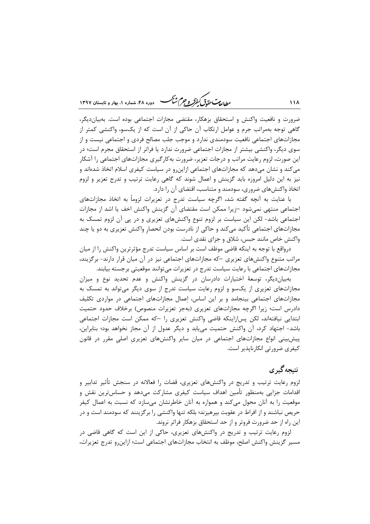ر<br>رواده سی تحقیق گفتر و جرم شنگ هنده ۴۸، شعاره ۱، بعاد و قابستان ۱۳۹۷

ضرورت و نافعیت واکنش و استحقاق بزهکار، مقتضی مجازات اجتماعی بوده است. بهبیان دیگر، گاهی توجه بهمراتب جرم و عوامل ارتکاب آن حاکی از آن است که از یکسو، واکنشی کمتر از مجازاتهای اجتماعی نافعیت سودمندی ندارد و موجب جلب مصالح فردی و اجتماعی نیست و از سوی دیگر، واکنشی بیشتر از مجازات اجتماعی ضرورت ندارد یا فراتر از استحقاق مجرم است؛ در این صورت، لزوم رعایت مراتب و درجات تعزیر، ضرورت بهکارگیری مجازاتهای اجتماعی را آشکار میکند و نشان میدهد که مجازاتهای اجتماعی ازاینرو در سیاست کیفری اسلام اتخاذ شدهاند و نیز به این دلیل امروزه باید گزینش و اعمال شوند که گاهی رعایت ترتیب و تدرج تعزیر و لزوم اتخاذ واکنشهای ضروری، سودمند و متناسب، اقتضای آن را دارد.

با عنایت به آنچه گفته شد، اگرچه سیاست تدرج در تعزیرات لزوماً به اتخاذ مجازاتهای اجتماعی منتهی نمیشود –زیرا ممکن است مقتضای آن گزینش واکنش اخف یا اشد از مجازات اجتماعی باشد- لکن این سیاست بر لزوم تنوع واکنشهای تعزیری و در پی آن لزوم تمسک به مجازاتهای اجتماعی تأکید میکند و حاکی از نادرست بودن انحصار واکنش تعزیری به دو یا چند واکنش خاص مانند حبس، شلاق و جزای نقدی است.

درواقع با توجه به اینکه قاضی موظف است بر اساس سیاست تدرج مؤثرترین واکنش را از میان مراتب متنوع واکنشهای تعزیری —که مجازاتهای اجتماعی نیز در آن میان قرار دارند– برگزیند، مجازاتهای اجتماعی با رعایت سیاست تدرج در تعزیرات میتوانند موقعیتی برجسته بیابند.

بهبیان دیگر، توسعهٔ اختیارات دادرسان در گزینش واکنش و عدم تحدید نوع و میزان مجازاتهای تعزیری از یکسو و لزوم رعایت سیاست تدرج از سوی دیگر میتواند به تمسک به مجازاتهای اجتماعی بینجامد و بر این اساس، اعمال مجازاتهای اجتماعی در مواردی تکلیف دادرس است؛ زیرا اگرچه مجازاتهای تعزیری (بهجز تعزیرات منصوص) برخلاف حدود حتمیت ابتدایی نیافتهاند، لکن پس|زاینکه قاضی واکنش تعزیری را —که ممکن است مجازات اجتماعی باشد- اجتهاد کرد، آن واکنش حتمیت می یابد و دیگر عدول از آن مجاز نخواهد بود؛ بنابراین، پیش بینی انواع مجازاتهای اجتماعی در میان سایر واکنشهای تعزیری اصلی مقرر در قانون کیفری ضرورتی انکارناپذیر است.

### نتىجەگىر ي

لزوم رعایت ترتیب و تدریج در واکنشهای تعزیری، قضات را فعالانه در سنجش تأثیر تدابیر و اقدامات جزایی بهمنظور تأمین اهداف سیاست کیفری مشارکت میدهد و حساسترین نقش و موقعیت را به آنان محول میکند و همواره به آنان خاطرنشان میسازد که نسبت به اعمال کیفر حريص نباشند و از افراط در عقوبت بپرهيزند؛ بلكه تنها واكنشي را برگزينند كه سودمند است و در این راه از حد ضرورت فروتر و از حد استحقاق بزهکار فراتر نروند.

لزوم رعایت ترتیب و تدریج در واکنشهای تعزیری، حاکی از این است که گاهی قاضی در مسیر گزینش واکنش اصلح، موظف به انتخاب مجازاتهای اجتماعی است؛ ازاین٫رو تدرج تعزیرات،

118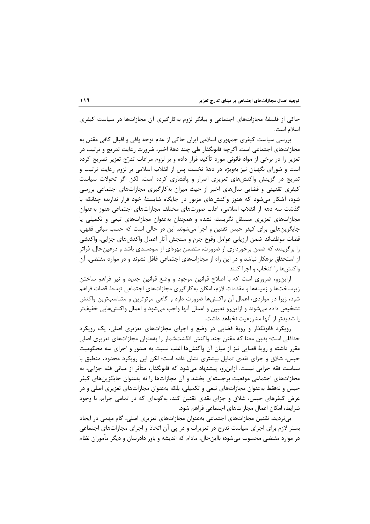حاکی از فلسفهٔ مجازاتهای اجتماعی و بیانگر لزوم بهکارگیری آن مجازاتها در سیاست کیفری اسلام است.

بررسی سیاست کیفری جمهوری اسلامی ایران حاکی از عدم توجه وافی و اقبال کافی مقنن به مجازاتهای اجتماعی است. اگرچه قانونگذار طی چند دههٔ اخیر، ضرورت رعایت تدریج و ترتیب در تعزیر را در برخی از مواد قانونی مورد تأکید قرار داده و بر لزوم مراعات تدرّج تعزیر تصریح کرده است و شورای نگهبان نیز بهویژه در دههٔ نخست پس از انقلاب اسلامی بر لزوم رعایت ترتیب و تدریج در گزینش واکنشهای تعزیری اصرار و پافشاری کرده است، لکن اگر تحولات سیاست کیفری تقنینی و قضایی سالهای اخیر از حیث میزان بهکارگیری مجازاتهای اجتماعی بررسی شود، آشکار میشود که هنوز واکنشهای مزبور در جایگاه شایستهٔ خود قرار ندارند؛ چنانکه با گذشت سه دهه از انقلاب اسلامی، اغلب صورتهای مختلف مجازاتهای اجتماعی هنوز بهعنوان مجازاتهای تعزیری مستقل نگریسته نشده و همچنان بهعنوان مجازاتهای تبعی و تکمیلی یا جايگزينهايي براي كيفر حبس تقنين و اجرا مي شوند. اين در حالي است كه حسب مباني فقهي، قضات موظفاند ضمن ارزيابي عوامل وقوع جرم و سنجش آثار اعمال واكنشهاى جزايي، واكنشي را بر گزینند که ضمن برخورداری از ضرورت، متضمن بهرهای از سودمندی باشد و درعین حال، فراتر از استحقاق بزهکار نباشد و در این راه از مجازاتهای اجتماعی غافل نشوند و در موارد مقتضی، آن واکنش ها را انتخاب و اجرا کنند.

ازاین و، ضروری است که با اصلاح قوانین موجود و وضع قوانین جدید و نیز فراهم ساختن زيرساختها و زمينهها و مقدمات لازم، امكان بهكارگيري مجازاتهاي اجتماعي توسط قضات فراهم شود، زیرا در مواردی، اعمال آن واکنشها ضرورت دارد و گاهی مؤثرترین و متناسبترین واکنش تشخيص داده مى شوند و ازاين٫و تعيين و اعمال آنها واجب مى شود و اعمال واكنشهايي خفيف تر یا شدیدتر از آنها مشروعیت نخواهد داشت.

رویکرد قانونگذار و رویهٔ قضایی در وضع و اجرای مجازاتهای تعزیری اصلی، یک رویکرد حداقلی است؛ بدین معنا که مقنن چند واکنش انگشتشمار را بهعنوان مجازاتهای تعزیری اصلی مقرر داشته و رویهٔ قضایی نیز از میان آن واکنشها اغلب نسبت به صدور و اجرای سه محکومیت حبس، شلاق و جزای نقدی تمایل بیشتری نشان داده است؛ لکن این رویکرد محدود، منطبق با سیاست فقه جزایی نیست. ازاینرو، پیشنهاد میشود که قانونگذار، متأثر از مبانی فقه جزایی، به مجازاتهای اجتماعی موقعیت برجستهای بخشد و آن مجازاتها را نه بهعنوان جایگزینهای کیفر حبس و نهفقط بهعنوان مجازاتهای تبعی و تکمیلی، بلکه بهعنوان مجازاتهای تعزیری اصلی و در عرض کیفرهای حبس، شلاق و جزای نقدی تقنین کند، بهگونهای که در تمامی جرایم با وجود شرایط، امکان اعمال مجازاتهای اجتماعی فراهم شود.

بی تردید، تقنین مجازاتهای اجتماعی بهعنوان مجازاتهای تعزیری اصلی، گام مهمی در ایجاد بستر لازم برای اجرای سیاست تدرج در تعزیرات و در پی آن اتخاذ و اجرای مجازاتهای اجتماعی در موارد مقتضی محسوب میشود؛ بااینحال، مادام که اندیشه و باور دادرسان و دیگر مأموران نظام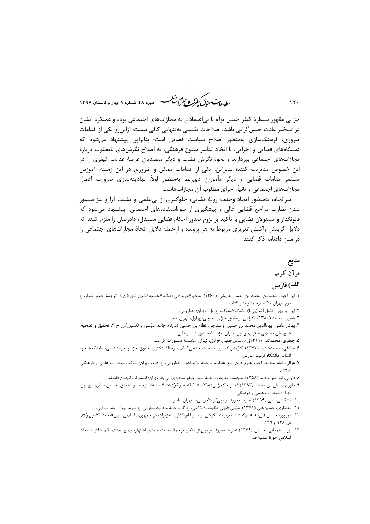ر<br>مطالعات متعق *کفوکر و جهم شنگ* هنده ۴۸، شماده ۱، بهاد و تابستان ۱۳۹۷

جزایی مقهور سیطرهٔ کیفر حبس توأم با بی|عتمادی به مجازاتهای اجتماعی بوده و عملکرد ایشان در تسخیر عادت حبس گرایی باشد، اصلاحات تقنینی بهتنهایی کافی نیست؛ ازاینرو یکی از اقدامات ضروری، فرهنگ سازی بهمنظور اصلاح سیاست قضایی است؛ بنابراین پیشنهاد می شود که دستگاههای قضایی و اجرایی، با اتخاذ تدابیر متنوع فرهنگی، به اصلاح نگرشهای نامطلوب دربارهٔ مجازاتهای اجتماعی بپردازند و نحوهٔ نگرش قضات و دیگر متصدیان عرصهٔ عدالت کیفری را در این خصوص مدیریت کنند؛ بنابراین، یکی از اقدامات ممکن و ضروری در این زمینه، آموزش مستمر مقامات قضایی و دیگر مأموران ذی,بط بهمنظور اولاً، نهادینهسازی ضرورت اعمال مجازاتهای اجتماعی و ثانیاً، اجرای مطلوب آن مجازاتهاست.

سرانجام، بهمنظور ایجاد وحدت رویهٔ قضایی، جلوگیری از بینظمی و تشتت آرا و نیز میسور شدن نظارت مراجع قضایی عالی و پیشگیری از سوءاستفادههای احتمالی، پیشنهاد میشود که قانونگذار و مسئولان قضایی با تأکید بر لزوم صدور احکام قضایی مستدل، دادرسان را ملزم کنند که دلایل گزینش واکنش تعزیری مربوط به هر پرونده و ازجمله دلایل اتخاذ مجازاتهای اجتماعی را د, متن دادنامه ذکر کنند.

# منابع قر آن کر یم الف) فارسي

#### ١. ابن اخوه، محمدبن محمد بن احمد القريشي (١٣۶٠). *معالم القربه في احكام الحسبه (أئين شهرداري).* ترجمهٔ جعفر شعار، چ دوم، تهران: بنگاه ترجمه و نشر كتاب.

- ۲. ابن روزبهان، فضل الله (بيتا). *سلوک الملوک،* چ اول، تهران: خوارزمي.
- ۳. باهری، محمد ( ۱۳۸۰). *نگرشی بر حقوق جزای عمومی*، چ اول، تهران: مجد.
- ۴. بهائی عاملی، بهاءالدین محمد بن حسین و ساوجی، نظام بن حسین (بیتا). *جامع عباسی و تکمیل آن.* ج ۲، تحقیق و تصحیح: شيخ على محلاتي حائري، چ اول، تهران: مؤسسهٔ منشورات الفراهاني.
	- ۵. جعفری، محمدتقی (۱۴۱۹ق). *رسائل فقهی*، چ اول، تهران: مؤسسهٔ منشورات کرامت.
- ۶. صادقی، محمدهادی (۱۳۷۳). *گرایش کیفری سیاست جنایی اسلام*، رسالهٔ دکتری حقوق جزا و جرمشناسی، دانشکدهٔ علوم انسانی دانشگاه تربیت مدرس.
- ٧. غزالي، امام محمد. احياء علوم|لدين: ربع عادات، ترجمهٔ مؤيدالدين خوارزمي، چ دوم، تهران: شركت انتشارات علمي و فرهنگي.
	- ٨. فارابي، ابو نصر محمد (١٣٥٨). *سياست مدينه*، ترجمهٔ سيد جعفر سجادي، بيچا، تهران: انتشارات انجمن فلسفه.
- ۹. ماوردي، علي بن محمد (۱۳۸۳). *آ يين حكمراني (احكام السلطانيه و الولايات الدينيه).* ترجمه و تحقيق: حسين صابري، چ اول، تهران: انتشارات علمي و فرهنگي.
	- ١٠. مشكيني، على (١٣٥٩). امر به معروف وتهي از منكر، بي نا، تهران: ياسر.
	- ۱۱. منتظری، حسین علی (۱۳۷۹). *مبانی فقهی حکومت اسلامی*، ج ۳، ترجمهٔ محمود صلواتی<sub></sub>. چ سوم. تهران: نشر سرایی.
- ۱۲. مهرپور، حسین (بیتا). «سرگذشت تعزیرات: نگرشی بر سیر قانونگذاری تعزیرات در جمهوری اسلامی ایران»، *مجلهٔ کانون وکلا*، ش ۱۴۸ و ۱۴۹.
- ۱۳. نوری همدانی، حسین (۱۳۷۹)*. امر به معروف و نهی از منکر*، ترجمهٔ محمدمحمدی اشتهاردی، چ هشتم، قم: دفتر تبلیغات اسلامي حوزة علمية قم.

 $11.$